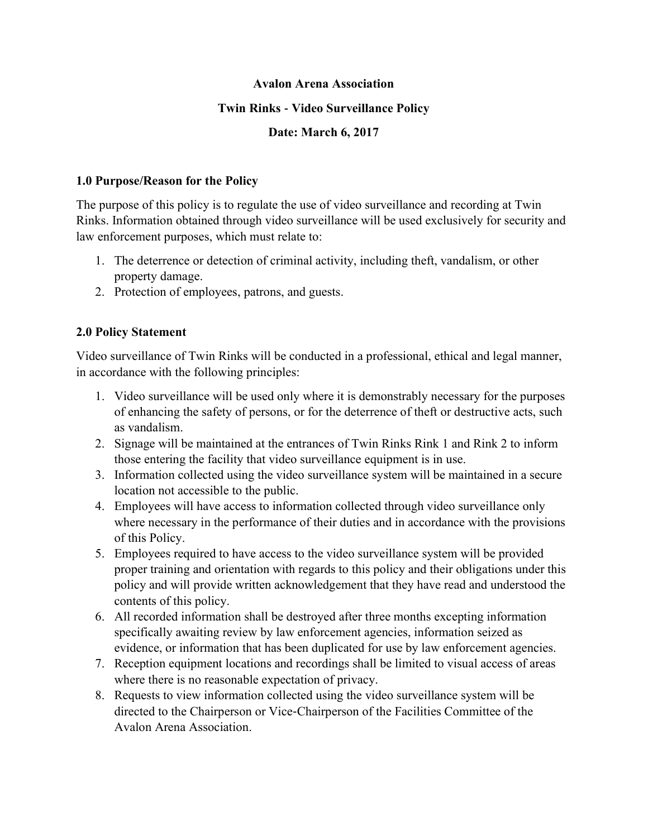#### Avalon Arena Association

### Twin Rinks ‐ Video Surveillance Policy

### Date: March 6, 2017

### 1.0 Purpose/Reason for the Policy

The purpose of this policy is to regulate the use of video surveillance and recording at Twin Rinks. Information obtained through video surveillance will be used exclusively for security and law enforcement purposes, which must relate to:

- 1. The deterrence or detection of criminal activity, including theft, vandalism, or other property damage.
- 2. Protection of employees, patrons, and guests.

# 2.0 Policy Statement

Video surveillance of Twin Rinks will be conducted in a professional, ethical and legal manner, in accordance with the following principles:

- 1. Video surveillance will be used only where it is demonstrably necessary for the purposes of enhancing the safety of persons, or for the deterrence of theft or destructive acts, such as vandalism.
- 2. Signage will be maintained at the entrances of Twin Rinks Rink 1 and Rink 2 to inform those entering the facility that video surveillance equipment is in use.
- 3. Information collected using the video surveillance system will be maintained in a secure location not accessible to the public.
- 4. Employees will have access to information collected through video surveillance only where necessary in the performance of their duties and in accordance with the provisions of this Policy.
- 5. Employees required to have access to the video surveillance system will be provided proper training and orientation with regards to this policy and their obligations under this policy and will provide written acknowledgement that they have read and understood the contents of this policy.
- 6. All recorded information shall be destroyed after three months excepting information specifically awaiting review by law enforcement agencies, information seized as evidence, or information that has been duplicated for use by law enforcement agencies.
- 7. Reception equipment locations and recordings shall be limited to visual access of areas where there is no reasonable expectation of privacy.
- 8. Requests to view information collected using the video surveillance system will be directed to the Chairperson or Vice‐Chairperson of the Facilities Committee of the Avalon Arena Association.